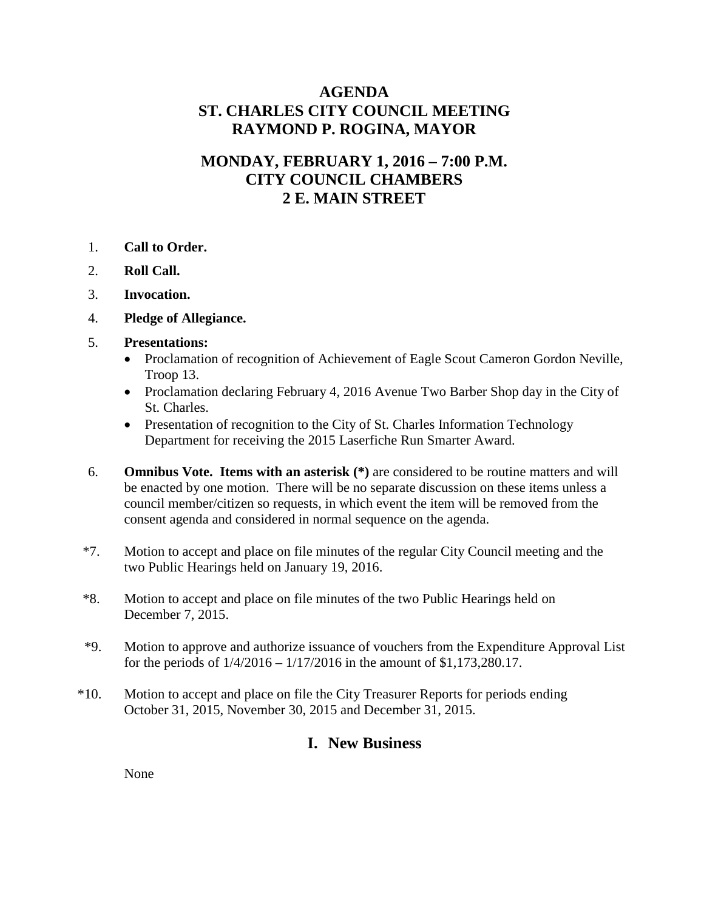# **AGENDA ST. CHARLES CITY COUNCIL MEETING RAYMOND P. ROGINA, MAYOR**

# **MONDAY, FEBRUARY 1, 2016 – 7:00 P.M. CITY COUNCIL CHAMBERS 2 E. MAIN STREET**

- 1. **Call to Order.**
- 2. **Roll Call.**
- 3. **Invocation.**
- 4. **Pledge of Allegiance.**
- 5. **Presentations:**
	- Proclamation of recognition of Achievement of Eagle Scout Cameron Gordon Neville, Troop 13.
	- Proclamation declaring February 4, 2016 Avenue Two Barber Shop day in the City of St. Charles.
	- Presentation of recognition to the City of St. Charles Information Technology Department for receiving the 2015 Laserfiche Run Smarter Award.
- 6. **Omnibus Vote. Items with an asterisk (\*)** are considered to be routine matters and will be enacted by one motion. There will be no separate discussion on these items unless a council member/citizen so requests, in which event the item will be removed from the consent agenda and considered in normal sequence on the agenda.
- \*7. Motion to accept and place on file minutes of the regular City Council meeting and the two Public Hearings held on January 19, 2016.
- \*8. Motion to accept and place on file minutes of the two Public Hearings held on December 7, 2015.
- \*9. Motion to approve and authorize issuance of vouchers from the Expenditure Approval List for the periods of 1/4/2016 – 1/17/2016 in the amount of \$1,173,280.17.
- \*10. Motion to accept and place on file the City Treasurer Reports for periods ending October 31, 2015, November 30, 2015 and December 31, 2015.

## **I. New Business**

None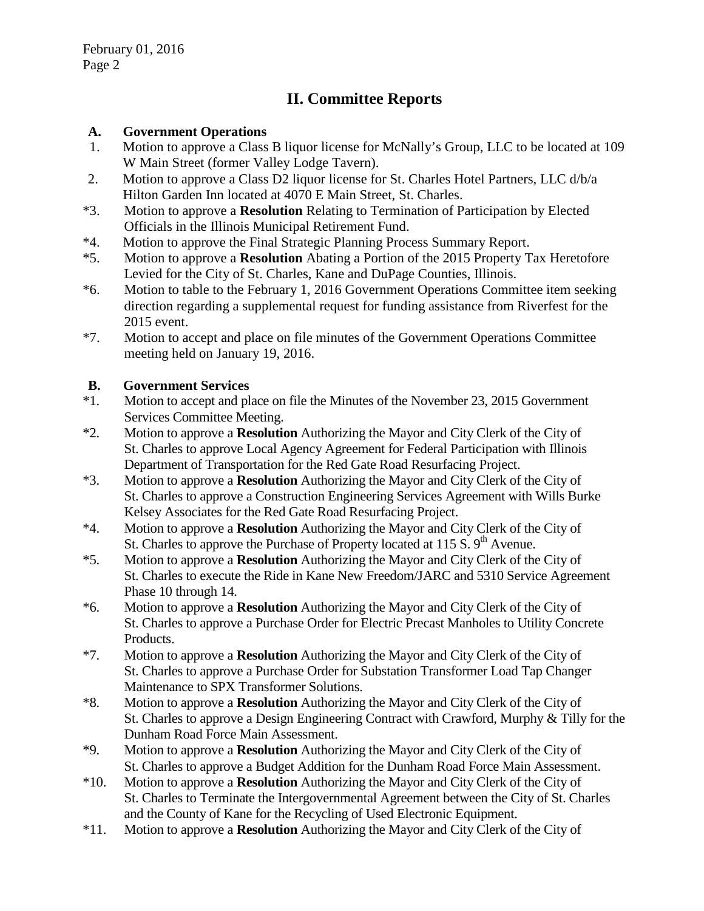# **II. Committee Reports**

#### **A. Government Operations**

- 1. Motion to approve a Class B liquor license for McNally's Group, LLC to be located at 109 W Main Street (former Valley Lodge Tavern).
- 2. Motion to approve a Class D2 liquor license for St. Charles Hotel Partners, LLC d/b/a Hilton Garden Inn located at 4070 E Main Street, St. Charles.
- \*3. Motion to approve a **Resolution** Relating to Termination of Participation by Elected Officials in the Illinois Municipal Retirement Fund.
- \*4. Motion to approve the Final Strategic Planning Process Summary Report.
- \*5. Motion to approve a **Resolution** Abating a Portion of the 2015 Property Tax Heretofore Levied for the City of St. Charles, Kane and DuPage Counties, Illinois.
- \*6. Motion to table to the February 1, 2016 Government Operations Committee item seeking direction regarding a supplemental request for funding assistance from Riverfest for the 2015 event.
- \*7. Motion to accept and place on file minutes of the Government Operations Committee meeting held on January 19, 2016.

## **B. Government Services**

- \*1. Motion to accept and place on file the Minutes of the November 23, 2015 Government Services Committee Meeting.
- \*2. Motion to approve a **Resolution** Authorizing the Mayor and City Clerk of the City of St. Charles to approve Local Agency Agreement for Federal Participation with Illinois Department of Transportation for the Red Gate Road Resurfacing Project.
- \*3. Motion to approve a **Resolution** Authorizing the Mayor and City Clerk of the City of St. Charles to approve a Construction Engineering Services Agreement with Wills Burke Kelsey Associates for the Red Gate Road Resurfacing Project.
- \*4. Motion to approve a **Resolution** Authorizing the Mayor and City Clerk of the City of St. Charles to approve the Purchase of Property located at 115 S.  $9<sup>th</sup>$  Avenue.
- \*5. Motion to approve a **Resolution** Authorizing the Mayor and City Clerk of the City of St. Charles to execute the Ride in Kane New Freedom/JARC and 5310 Service Agreement Phase 10 through 14.
- \*6. Motion to approve a **Resolution** Authorizing the Mayor and City Clerk of the City of St. Charles to approve a Purchase Order for Electric Precast Manholes to Utility Concrete Products.
- \*7. Motion to approve a **Resolution** Authorizing the Mayor and City Clerk of the City of St. Charles to approve a Purchase Order for Substation Transformer Load Tap Changer Maintenance to SPX Transformer Solutions.
- \*8. Motion to approve a **Resolution** Authorizing the Mayor and City Clerk of the City of St. Charles to approve a Design Engineering Contract with Crawford, Murphy & Tilly for the Dunham Road Force Main Assessment.
- \*9. Motion to approve a **Resolution** Authorizing the Mayor and City Clerk of the City of St. Charles to approve a Budget Addition for the Dunham Road Force Main Assessment.
- \*10. Motion to approve a **Resolution** Authorizing the Mayor and City Clerk of the City of St. Charles to Terminate the Intergovernmental Agreement between the City of St. Charles and the County of Kane for the Recycling of Used Electronic Equipment.
- \*11. Motion to approve a **Resolution** Authorizing the Mayor and City Clerk of the City of